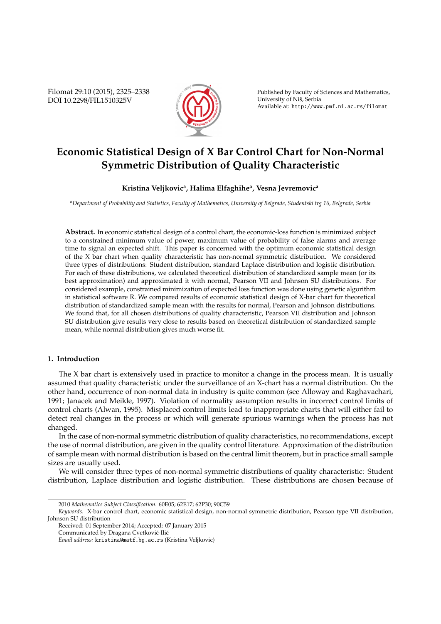Filomat 29:10 (2015), 2325–2338 DOI 10.2298/FIL1510325V



Published by Faculty of Sciences and Mathematics, University of Niš, Serbia Available at: http://www.pmf.ni.ac.rs/filomat

# **Economic Statistical Design of X Bar Control Chart for Non-Normal Symmetric Distribution of Quality Characteristic**

# **Kristina Veljkovic<sup>a</sup> , Halima Elfaghihe<sup>a</sup> , Vesna Jevremovic<sup>a</sup>**

*<sup>a</sup>Department of Probability and Statistics, Faculty of Mathematics, University of Belgrade, Studentski trg 16, Belgrade, Serbia*

**Abstract.** In economic statistical design of a control chart, the economic-loss function is minimized subject to a constrained minimum value of power, maximum value of probability of false alarms and average time to signal an expected shift. This paper is concerned with the optimum economic statistical design of the X bar chart when quality characteristic has non-normal symmetric distribution. We considered three types of distributions: Student distribution, standard Laplace distribution and logistic distribution. For each of these distributions, we calculated theoretical distribution of standardized sample mean (or its best approximation) and approximated it with normal, Pearson VII and Johnson SU distributions. For considered example, constrained minimization of expected loss function was done using genetic algorithm in statistical software R. We compared results of economic statistical design of X-bar chart for theoretical distribution of standardized sample mean with the results for normal, Pearson and Johnson distributions. We found that, for all chosen distributions of quality characteristic, Pearson VII distribution and Johnson SU distribution give results very close to results based on theoretical distribution of standardized sample mean, while normal distribution gives much worse fit.

# **1. Introduction**

The X bar chart is extensively used in practice to monitor a change in the process mean. It is usually assumed that quality characteristic under the surveillance of an X-chart has a normal distribution. On the other hand, occurrence of non-normal data in industry is quite common (see Alloway and Raghavachari, 1991; Janacek and Meikle, 1997). Violation of normality assumption results in incorrect control limits of control charts (Alwan, 1995). Misplaced control limits lead to inappropriate charts that will either fail to detect real changes in the process or which will generate spurious warnings when the process has not changed.

In the case of non-normal symmetric distribution of quality characteristics, no recommendations, except the use of normal distribution, are given in the quality control literature. Approximation of the distribution of sample mean with normal distribution is based on the central limit theorem, but in practice small sample sizes are usually used.

We will consider three types of non-normal symmetric distributions of quality characteristic: Student distribution, Laplace distribution and logistic distribution. These distributions are chosen because of

<sup>2010</sup> *Mathematics Subject Classification*. 60E05; 62E17; 62P30; 90C59

*Keywords*. X-bar control chart, economic statistical design, non-normal symmetric distribution, Pearson type VII distribution, Johnson SU distribution

Received: 01 September 2014; Accepted: 07 January 2015

Communicated by Dragana Cvetković-Ilić

*Email address:* kristina@matf.bg.ac.rs (Kristina Veljkovic)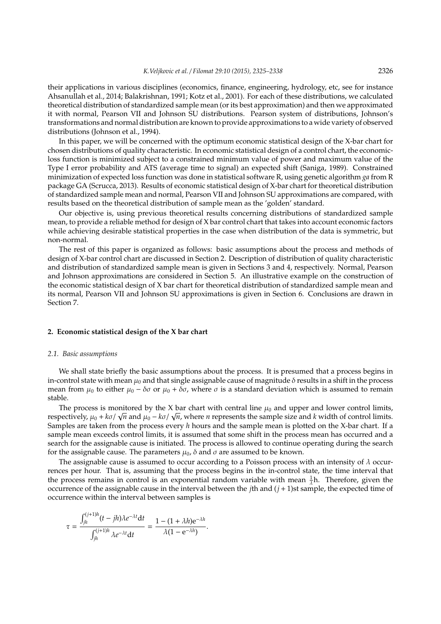their applications in various disciplines (economics, finance, engineering, hydrology, etc, see for instance Ahsanullah et al., 2014; Balakrishnan, 1991; Kotz et al., 2001). For each of these distributions, we calculated theoretical distribution of standardized sample mean (or its best approximation) and then we approximated it with normal, Pearson VII and Johnson SU distributions. Pearson system of distributions, Johnson's transformations and normal distribution are known to provide approximations to a wide variety of observed distributions (Johnson et al., 1994).

In this paper, we will be concerned with the optimum economic statistical design of the X-bar chart for chosen distributions of quality characteristic. In economic statistical design of a control chart, the economicloss function is minimized subject to a constrained minimum value of power and maximum value of the Type I error probability and ATS (average time to signal) an expected shift (Saniga, 1989). Constrained minimization of expected loss function was done in statistical software R, using genetic algorithm *ga* from R package GA (Scrucca, 2013). Results of economic statistical design of X-bar chart for theoretical distribution of standardized sample mean and normal, Pearson VII and Johnson SU approximations are compared, with results based on the theoretical distribution of sample mean as the 'golden' standard.

Our objective is, using previous theoretical results concerning distributions of standardized sample mean, to provide a reliable method for design of X bar control chart that takes into account economic factors while achieving desirable statistical properties in the case when distribution of the data is symmetric, but non-normal.

The rest of this paper is organized as follows: basic assumptions about the process and methods of design of X-bar control chart are discussed in Section 2. Description of distribution of quality characteristic and distribution of standardized sample mean is given in Sections 3 and 4, respectively. Normal, Pearson and Johnson approximations are considered in Section 5. An illustrative example on the construction of the economic statistical design of X bar chart for theoretical distribution of standardized sample mean and its normal, Pearson VII and Johnson SU approximations is given in Section 6. Conclusions are drawn in Section 7.

#### **2. Economic statistical design of the X bar chart**

#### *2.1. Basic assumptions*

We shall state briefly the basic assumptions about the process. It is presumed that a process begins in in-control state with mean  $\mu_0$  and that single assignable cause of magnitude  $\delta$  results in a shift in the process mean from  $\mu_0$  to either  $\mu_0 - \delta\sigma$  or  $\mu_0 + \delta\sigma$ , where  $\sigma$  is a standard deviation which is assumed to remain stable.

The process is monitored by the X bar chart with central line  $\mu_0$  and upper and lower control limits, The process is monitored by the X bar chart with central line  $\mu_0$  and upper and lower control limits.<br>respectively,  $\mu_0 + k\sigma/\sqrt{n}$  and  $\mu_0 - k\sigma/\sqrt{n}$ , where *n* represents the sample size and *k* width of control limit Samples are taken from the process every *h* hours and the sample mean is plotted on the X-bar chart. If a sample mean exceeds control limits, it is assumed that some shift in the process mean has occurred and a search for the assignable cause is initiated. The process is allowed to continue operating during the search for the assignable cause. The parameters  $\mu_0$ ,  $\delta$  and  $\sigma$  are assumed to be known.

The assignable cause is assumed to occur according to a Poisson process with an intensity of  $\lambda$  occurrences per hour. That is, assuming that the process begins in the in-control state, the time interval that the process remains in control is an exponential random variable with mean  $\frac{1}{\lambda}$ h. Therefore, given the occurrence of the assignable cause in the interval between the *j*th and (*j* + 1)st sample, the expected time of occurrence within the interval between samples is

$$
\tau = \frac{\int_{jh}^{(j+1)h} (t - jh) \lambda e^{-\lambda t} dt}{\int_{jh}^{(j+1)h} \lambda e^{-\lambda t} dt} = \frac{1 - (1 + \lambda h)e^{-\lambda h}}{\lambda (1 - e^{-\lambda h})}.
$$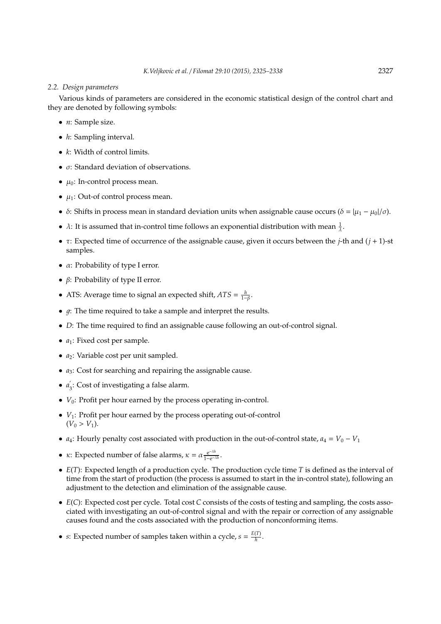# *2.2. Design parameters*

Various kinds of parameters are considered in the economic statistical design of the control chart and they are denoted by following symbols:

- *n*: Sample size.
- *h*: Sampling interval.
- *k*: Width of control limits.
- $\bullet$   $\sigma$ : Standard deviation of observations.
- $\mu_0$ : In-control process mean.
- $\mu_1$ : Out-of control process mean.
- δ: Shifts in process mean in standard deviation units when assignable cause occurs ( $\delta = |\mu_1 \mu_0|/\sigma$ ).
- $\lambda$ : It is assumed that in-control time follows an exponential distribution with mean  $\frac{1}{\lambda}$ .
- τ: Expected time of occurrence of the assignable cause, given it occurs between the *j*-th and (*j* + 1)-st samples.
- $\alpha$ : Probability of type I error.
- β: Probability of type II error.
- ATS: Average time to signal an expected shift,  $ATS = \frac{h}{1-\beta}$ .
- $q$ : The time required to take a sample and interpret the results.
- *D*: The time required to find an assignable cause following an out-of-control signal.
- *a*<sub>1</sub>: Fixed cost per sample.
- *a*<sub>2</sub>: Variable cost per unit sampled.
- *a*<sub>3</sub>: Cost for searching and repairing the assignable cause.
- $\bullet$  *a*<sup> $\alpha$ </sup>  $\sigma_3$ : Cost of investigating a false alarm.
- $V_0$ : Profit per hour earned by the process operating in-control.
- *V*1: Profit per hour earned by the process operating out-of-control  $(V_0 > V_1)$ .
- *a*<sub>4</sub>: Hourly penalty cost associated with production in the out-of-control state,  $a_4 = V_0 V_1$
- $\kappa$ : Expected number of false alarms,  $\kappa = \alpha \frac{e^{-\lambda h}}{1 e^{-\lambda h}}$  $\frac{e^{-\lambda h}}{1-e^{-\lambda h}}$ .
- *E*(*T*): Expected length of a production cycle. The production cycle time *T* is defined as the interval of time from the start of production (the process is assumed to start in the in-control state), following an adjustment to the detection and elimination of the assignable cause.
- *E*(*C*): Expected cost per cycle. Total cost *C* consists of the costs of testing and sampling, the costs associated with investigating an out-of-control signal and with the repair or correction of any assignable causes found and the costs associated with the production of nonconforming items.
- *s*: Expected number of samples taken within a cycle,  $s = \frac{E(T)}{h}$  $\frac{(1)}{h}$ .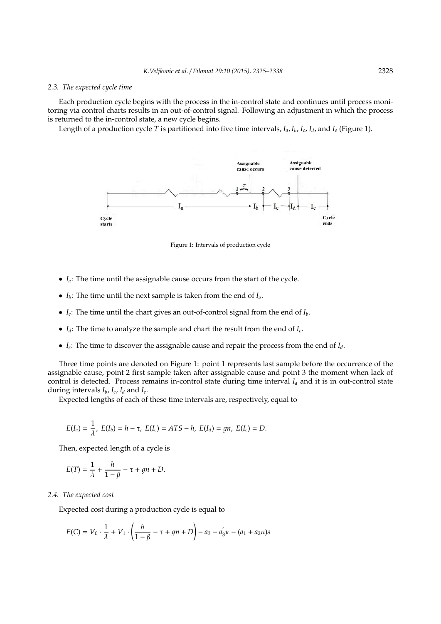#### *2.3. The expected cycle time*

Each production cycle begins with the process in the in-control state and continues until process monitoring via control charts results in an out-of-control signal. Following an adjustment in which the process is returned to the in-control state, a new cycle begins.

Length of a production cycle *T* is partitioned into five time intervals, *Ia*, *Ib*, *I<sup>c</sup>* , *Id*, and *I<sup>e</sup>* (Figure 1).



Figure 1: Intervals of production cycle

- *Ia*: The time until the assignable cause occurs from the start of the cycle.
- $I_b$ : The time until the next sample is taken from the end of  $I_a$ .
- $\bullet$  *I<sub>c</sub>*: The time until the chart gives an out-of-control signal from the end of  $I_b$ .
- $I_d$ : The time to analyze the sample and chart the result from the end of  $I_c$ .
- *I<sup>e</sup>* : The time to discover the assignable cause and repair the process from the end of *Id*.

Three time points are denoted on Figure 1: point 1 represents last sample before the occurrence of the assignable cause, point 2 first sample taken after assignable cause and point 3 the moment when lack of control is detected. Process remains in-control state during time interval  $I_a$  and it is in out-control state during intervals *Ib*, *I<sup>c</sup>* , *I<sup>d</sup>* and *I<sup>e</sup>* .

Expected lengths of each of these time intervals are, respectively, equal to

$$
E(I_a) = \frac{1}{\lambda}, E(I_b) = h - \tau, E(I_c) = ATS - h, E(I_d) = gn, E(I_e) = D.
$$

Then, expected length of a cycle is

$$
E(T) = \frac{1}{\lambda} + \frac{h}{1 - \beta} - \tau + gn + D.
$$

## *2.4. The expected cost*

Expected cost during a production cycle is equal to

$$
E(C) = V_0 \cdot \frac{1}{\lambda} + V_1 \cdot \left(\frac{h}{1-\beta} - \tau + gn + D\right) - a_3 - a_3' \kappa - (a_1 + a_2 n)s
$$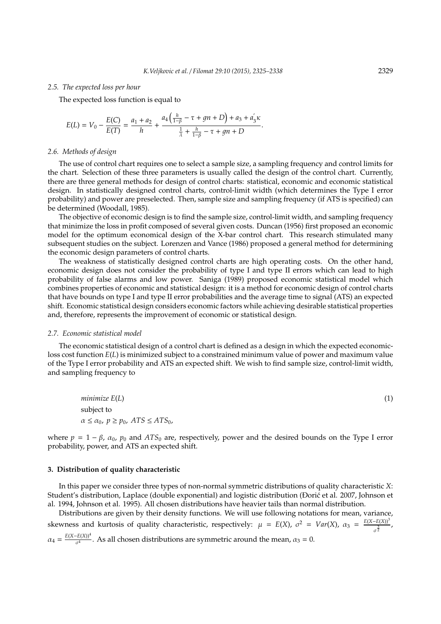#### *2.5. The expected loss per hour*

The expected loss function is equal to

$$
E(L) = V_0 - \frac{E(C)}{E(T)} = \frac{a_1 + a_2}{h} + \frac{a_4\left(\frac{h}{1-\beta} - \tau + gn + D\right) + a_3 + a_3' \kappa}{\frac{1}{\lambda} + \frac{h}{1-\beta} - \tau + gn + D}.
$$

## *2.6. Methods of design*

The use of control chart requires one to select a sample size, a sampling frequency and control limits for the chart. Selection of these three parameters is usually called the design of the control chart. Currently, there are three general methods for design of control charts: statistical, economic and economic statistical design. In statistically designed control charts, control-limit width (which determines the Type I error probability) and power are preselected. Then, sample size and sampling frequency (if ATS is specified) can be determined (Woodall, 1985).

The objective of economic design is to find the sample size, control-limit width, and sampling frequency that minimize the loss in profit composed of several given costs. Duncan (1956) first proposed an economic model for the optimum economical design of the X-bar control chart. This research stimulated many subsequent studies on the subject. Lorenzen and Vance (1986) proposed a general method for determining the economic design parameters of control charts.

The weakness of statistically designed control charts are high operating costs. On the other hand, economic design does not consider the probability of type I and type II errors which can lead to high probability of false alarms and low power. Saniga (1989) proposed economic statistical model which combines properties of economic and statistical design: it is a method for economic design of control charts that have bounds on type I and type II error probabilities and the average time to signal (ATS) an expected shift. Economic statistical design considers economic factors while achieving desirable statistical properties and, therefore, represents the improvement of economic or statistical design.

#### *2.7. Economic statistical model*

The economic statistical design of a control chart is defined as a design in which the expected economicloss cost function *E*(*L*) is minimized subject to a constrained minimum value of power and maximum value of the Type I error probability and ATS an expected shift. We wish to find sample size, control-limit width, and sampling frequency to

*minimize E*(*L*) (1) subject to  $\alpha \le \alpha_0$ ,  $p \ge p_0$ ,  $ATS \le ATS_0$ ,

where  $p = 1 - \beta$ ,  $\alpha_0$ ,  $p_0$  and  $ATS_0$  are, respectively, power and the desired bounds on the Type I error probability, power, and ATS an expected shift.

#### **3. Distribution of quality characteristic**

In this paper we consider three types of non-normal symmetric distributions of quality characteristic *X*: Student's distribution, Laplace (double exponential) and logistic distribution (Đorić et al. 2007, Johnson et al. 1994, Johnson et al. 1995). All chosen distributions have heavier tails than normal distribution.

Distributions are given by their density functions. We will use following notations for mean, variance, skewness and kurtosis of quality characteristic, respectively:  $\mu = E(X)$ ,  $\sigma^2 = Var(X)$ ,  $\alpha_3 = \frac{E(X - E(X))^3}{\frac{3}{2}}$  $rac{-L(A))}{\sigma^{\frac{3}{2}}}$ ,  $\alpha_4 = \frac{E(X - E(X))^4}{\sigma^4}$  $\frac{dE(\Delta t)}{dt}$ . As all chosen distributions are symmetric around the mean,  $\alpha_3 = 0$ .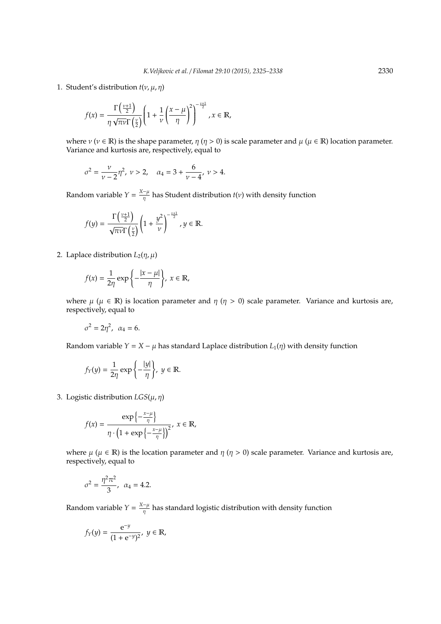1. Student's distribution  $t(v, \mu, \eta)$ 

$$
f(x) = \frac{\Gamma\left(\frac{\nu+1}{2}\right)}{\eta \sqrt{\pi \nu} \Gamma\left(\frac{\nu}{2}\right)} \left(1 + \frac{1}{\nu} \left(\frac{x-\mu}{\eta}\right)^2\right)^{-\frac{\nu+1}{2}}, x \in \mathbb{R},
$$

where  $\nu$  ( $\nu \in \mathbb{R}$ ) is the shape parameter,  $\eta$  ( $\eta > 0$ ) is scale parameter and  $\mu$  ( $\mu \in \mathbb{R}$ ) location parameter. Variance and kurtosis are, respectively, equal to

$$
\sigma^2 = \frac{\nu}{\nu - 2} \eta^2, \ \nu > 2, \quad \alpha_4 = 3 + \frac{6}{\nu - 4}, \ \nu > 4.
$$

Random variable  $Y = \frac{X - \mu}{n}$  $\frac{-\mu}{\eta}$  has Student distribution *t*(*v*) with density function

$$
f(y) = \frac{\Gamma\left(\frac{\nu+1}{2}\right)}{\sqrt{\pi\nu}\Gamma\left(\frac{\nu}{2}\right)} \left(1 + \frac{y^2}{\nu}\right)^{-\frac{\nu+1}{2}}, y \in \mathbb{R}.
$$

2. Laplace distribution  $L_2(\eta,\mu)$ 

$$
f(x) = \frac{1}{2\eta} \exp\left\{-\frac{|x-\mu|}{\eta}\right\}, x \in \mathbb{R},
$$

where  $\mu$  ( $\mu \in \mathbb{R}$ ) is location parameter and  $\eta$  ( $\eta > 0$ ) scale parameter. Variance and kurtosis are, respectively, equal to

$$
\sigma^2=2\eta^2,\ \alpha_4=6.
$$

Random variable *Y* = *X* −  $\mu$  has standard Laplace distribution  $L_1(\eta)$  with density function

$$
f_Y(y)=\frac{1}{2\eta}\exp\left\{-\frac{|y|}{\eta}\right\},\ y\in\mathbb{R}.
$$

3. Logistic distribution  $LGS(\mu, \eta)$ 

$$
f(x) = \frac{\exp\left\{-\frac{x-\mu}{\eta}\right\}}{\eta \cdot \left(1 + \exp\left\{-\frac{x-\mu}{\eta}\right\}\right)^2}, \ x \in \mathbb{R},
$$

where  $\mu$  ( $\mu \in \mathbb{R}$ ) is the location parameter and  $\eta$  ( $\eta > 0$ ) scale parameter. Variance and kurtosis are, respectively, equal to

$$
\sigma^2 = \frac{\eta^2 \pi^2}{3}, \ \alpha_4 = 4.2.
$$

Random variable  $Y = \frac{X - \mu}{n}$  $\frac{\mu}{\eta}$  has standard logistic distribution with density function

$$
f_Y(y) = \frac{e^{-y}}{(1 + e^{-y})^2}, \ y \in \mathbb{R},
$$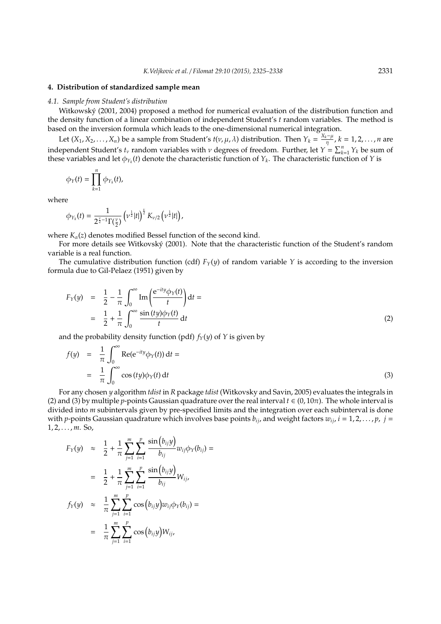# **4. Distribution of standardized sample mean**

## *4.1. Sample from Student's distribution*

Witkowský (2001, 2004) proposed a method for numerical evaluation of the distribution function and the density function of a linear combination of independent Student's *t* random variables. The method is based on the inversion formula which leads to the one-dimensional numerical integration.

Let  $(X_1, X_2, ..., X_n)$  be a sample from Student's  $t(v, \mu, \lambda)$  distribution. Then  $Y_k = \frac{X_k - \mu}{n}$ η , *k* = 1, 2, . . . , *n* are independent Student's  $t_v$  random variables with  $v$  degrees of freedom. Further, let  $Y = \sum_{k=1}^{n} Y_k$  be sum of these variables and let  $\phi_{Y_k}(t)$  denote the characteristic function of  $Y_k$ . The characteristic function of  $Y$  is

$$
\phi_Y(t)=\prod_{k=1}^n\phi_{Y_k}(t),
$$

where

$$
\phi_{Y_k}(t) = \frac{1}{2^{\frac{\nu}{2}-1}\Gamma(\frac{\nu}{2})}\left(\nu^{\frac{1}{2}}|t|\right)^{\frac{\nu}{2}}K_{\nu/2}\left(\nu^{\frac{1}{2}}|t|\right),\,
$$

where  $K_{\alpha}(z)$  denotes modified Bessel function of the second kind.

For more details see Witkovský (2001). Note that the characteristic function of the Student's random variable is a real function.

The cumulative distribution function (cdf)  $F_Y(y)$  of random variable  $Y$  is according to the inversion formula due to Gil-Pelaez (1951) given by

$$
F_Y(y) = \frac{1}{2} - \frac{1}{\pi} \int_0^\infty \text{Im}\left(\frac{e^{-ity}\phi_Y(t)}{t}\right) dt =
$$
  
= 
$$
\frac{1}{2} + \frac{1}{\pi} \int_0^\infty \frac{\sin(ty)\phi_Y(t)}{t} dt
$$
 (2)

and the probability density function (pdf)  $f_Y(y)$  of *Y* is given by

$$
f(y) = \frac{1}{\pi} \int_0^{\infty} \text{Re}(e^{-ity} \phi_Y(t)) dt =
$$
  
= 
$$
\frac{1}{\pi} \int_0^{\infty} \cos(ty) \phi_Y(t) dt
$$
 (3)

For any chosen *y* algorithm *tdist* in *R* package *tdist* (Witkovsky and Savin, 2005) evaluates the integrals in (2) and (3) by multiple *p*-points Gaussian quadrature over the real interval  $t \in (0, 10\pi)$ . The whole interval is divided into *m* subintervals given by pre-specified limits and the integration over each subinterval is done with *p*-points Gaussian quadrature which involves base points  $b_{ij}$ , and weight factors  $w_{ij}$ ,  $i = 1, 2, \ldots, p$ ,  $j =$ 1, 2, . . . , *m*. So,

$$
F_Y(y) \approx \frac{1}{2} + \frac{1}{\pi} \sum_{j=1}^m \sum_{i=1}^p \frac{\sin(b_{ij}y)}{b_{ij}} w_{ij} \phi_Y(b_{ij}) =
$$
  

$$
= \frac{1}{2} + \frac{1}{\pi} \sum_{j=1}^m \sum_{i=1}^p \frac{\sin(b_{ij}y)}{b_{ij}} W_{ij},
$$
  

$$
f_Y(y) \approx \frac{1}{\pi} \sum_{j=1}^m \sum_{i=1}^p \cos(b_{ij}y) w_{ij} \phi_Y(b_{ij}) =
$$
  

$$
= \frac{1}{\pi} \sum_{j=1}^m \sum_{i=1}^p \cos(b_{ij}y) W_{ij},
$$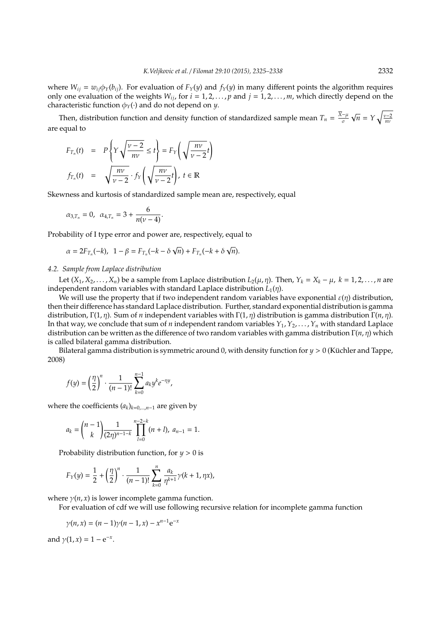where  $W_{ij} = w_{ij} \phi_Y(b_{ij})$ . For evaluation of  $F_Y(y)$  and  $f_Y(y)$  in many different points the algorithm requires only one evaluation of the weights  $W_{ij}$ , for  $i = 1, 2, \dots, p$  and  $j = 1, 2, \dots, m$ , which directly depend on the characteristic function  $\phi_Y(\cdot)$  and do not depend on *y*.

Then, distribution function and density function of standardized sample mean  $T_n = \frac{\overline{X} - \mu}{\sigma}$ σ  $\overline{n} = Y \sqrt{\frac{v-2}{nv}}$ are equal to

$$
F_{T_n}(t) = P\left\{Y\sqrt{\frac{v-2}{nv}} \le t\right\} = F_Y\left(\sqrt{\frac{nv}{v-2}}t\right)
$$
  

$$
f_{T_n}(t) = \sqrt{\frac{nv}{v-2}} \cdot f_Y\left(\sqrt{\frac{nv}{v-2}}t\right), t \in \mathbb{R}
$$

Skewness and kurtosis of standardized sample mean are, respectively, equal

$$
\alpha_{3,T_n} = 0
$$
,  $\alpha_{4,T_n} = 3 + \frac{6}{n(\nu - 4)}$ .

Probability of I type error and power are, respectively, equal to

$$
\alpha=2F_{T_n}(-k),\;\;1-\beta=F_{T_n}(-k-\delta\sqrt{n})+F_{T_n}(-k+\delta\sqrt{n}).
$$

## *4.2. Sample from Laplace distribution*

Let  $(X_1, X_2, \ldots, X_n)$  be a sample from Laplace distribution  $L_2(\mu, \eta)$ . Then,  $Y_k = X_k - \mu$ ,  $k = 1, 2, \ldots, n$  are independent random variables with standard Laplace distribution  $L_1(\eta)$ .

We will use the property that if two independent random variables have exponential  $\varepsilon(\eta)$  distribution, then their difference has standard Laplace distribution. Further, standard exponential distribution is gamma distribution, Γ(1, η). Sum of *n* independent variables with Γ(1, η) distribution is gamma distribution Γ(*n*, η). In that way, we conclude that sum of *n* independent random variables  $Y_1, Y_2, \ldots, Y_n$  with standard Laplace distribution can be written as the difference of two random variables with gamma distribution Γ(*n*, η) which is called bilateral gamma distribution.

Bilateral gamma distribution is symmetric around 0, with density function for *y* > 0 (Küchler and Tappe, 2008)

$$
f(y) = \left(\frac{\eta}{2}\right)^n \cdot \frac{1}{(n-1)!} \sum_{k=0}^{n-1} a_k y^k e^{-\eta y},
$$

where the coefficients  $(a_k)_{k=0,\dots,n-1}$  are given by

$$
a_k = {n-1 \choose k} \frac{1}{(2\eta)^{n-1-k}} \prod_{l=0}^{n-2-k} (n+l), \ a_{n-1} = 1.
$$

Probability distribution function, for *y* > 0 is

$$
F_Y(y) = \frac{1}{2} + \left(\frac{\eta}{2}\right)^n \cdot \frac{1}{(n-1)!} \sum_{k=0}^n \frac{a_k}{\eta^{k+1}} \gamma(k+1, \eta x),
$$

where  $\gamma(n, x)$  is lower incomplete gamma function.

For evaluation of cdf we will use following recursive relation for incomplete gamma function

 $\gamma(n, x) = (n - 1)\gamma(n - 1, x) - x^{n-1}e^{-x}$ 

and  $\gamma(1, x) = 1 - e^{-x}$ .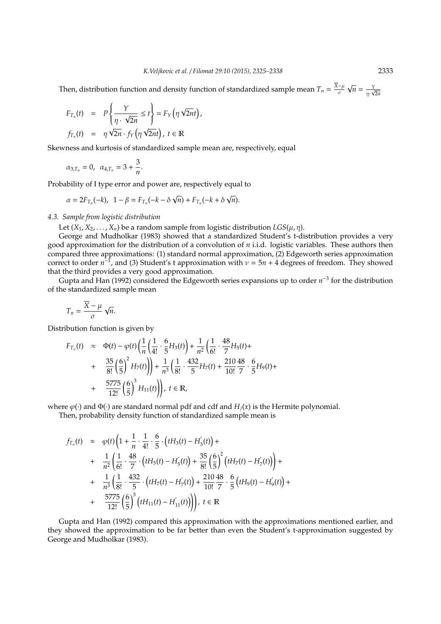Then, distribution function and density function of standardized sample mean  $T_n = \frac{\overline{X} - \mu}{\sigma}$ σ  $\overline{n} = \frac{Y}{\eta \cdot \sqrt{2n}}$ 

$$
F_{T_n}(t) = P\left\{\frac{Y}{\eta \cdot \sqrt{2n}} \le t\right\} = F_Y\left(\eta \sqrt{2nt}\right),
$$
  

$$
f_{T_n}(t) = \eta \sqrt{2n} \cdot f_Y\left(\eta \sqrt{2nt}\right), t \in \mathbb{R}
$$

Skewness and kurtosis of standardized sample mean are, respectively, equal

$$
\alpha_{3,T_n} = 0, \ \alpha_{4,T_n} = 3 + \frac{3}{n}.
$$

Probability of I type error and power are, respectively equal to

$$
\alpha = 2F_{T_n}(-k), \quad 1 - \beta = F_{T_n}(-k - \delta \sqrt{n}) + F_{T_n}(-k + \delta \sqrt{n}).
$$

# *4.3. Sample from logistic distribution*

Let  $(X_1, X_2, \ldots, X_n)$  be a random sample from logistic distribution  $LGS(\mu, \eta)$ .

George and Mudholkar (1983) showed that a standardized Student's t-distribution provides a very good approximation for the distribution of a convolution of *n* i.i.d. logistic variables. These authors then compared three approximations: (1) standard normal approximation, (2) Edgeworth series approximation correct to order  $n^{-1}$ , and (3) Student's t approximation with  $\nu = 5n + 4$  degrees of freedom. They showed that the third provides a very good approximation.

Gupta and Han (1992) considered the Edgeworth series expansions up to order *n*<sup>-3</sup> for the distribution of the standardized sample mean

$$
T_n = \frac{\overline{X} - \mu}{\sigma} \sqrt{n}.
$$

Distribution function is given by

$$
F_{T_n}(t) \approx \Phi(t) - \varphi(t) \left( \frac{1}{n} \left( \frac{1}{4!} \cdot \frac{6}{5} H_3(t) \right) + \frac{1}{n^2} \left( \frac{1}{6!} \cdot \frac{48}{7} H_5(t) + \frac{35}{8!} \left( \frac{6}{5} \right)^2 H_7(t) \right) \right) + \frac{1}{n^3} \left( \frac{1}{8!} \cdot \frac{432}{5} H_7(t) + \frac{210}{10!} \frac{48}{7} \cdot \frac{6}{5} H_9(t) + \frac{5775}{12!} \left( \frac{6}{5} \right)^3 H_{11}(t) \right), t \in \mathbb{R},
$$

where  $\varphi(\cdot)$  and  $\Phi(\cdot)$  are standard normal pdf and cdf and  $H_i(x)$  is the Hermite polynomial.

Then, probability density function of standardized sample mean is

$$
f_{T_n}(t) \approx \varphi(t) \left( 1 + \frac{1}{n} \cdot \frac{1}{4!} \cdot \frac{6}{5} \cdot \left( t H_3(t) - H_3'(t) \right) + \frac{1}{n^2} \left( \frac{1}{6!} \cdot \frac{48}{7} \cdot \left( t H_5(t) - H_5'(t) \right) + \frac{35}{8!} \left( \frac{6}{5} \right)^2 \left( t H_7(t) - H_7'(t) \right) \right) + \frac{1}{n^3} \left( \frac{1}{8!} \cdot \frac{432}{5} \cdot \left( t H_7(t) - H_7'(t) \right) + \frac{210}{10!} \frac{48}{7} \cdot \frac{6}{5} \left( t H_9(t) - H_{9}'(t) \right) + \frac{5775}{12!} \left( \frac{6}{5} \right)^3 \left( t H_{11}(t) - H_{11}'(t) \right) \right), \ t \in \mathbb{R}
$$

Gupta and Han (1992) compared this approximation with the approximations mentioned earlier, and they showed the approximation to be far better than even the Student's t-approximation suggested by George and Mudholkar (1983).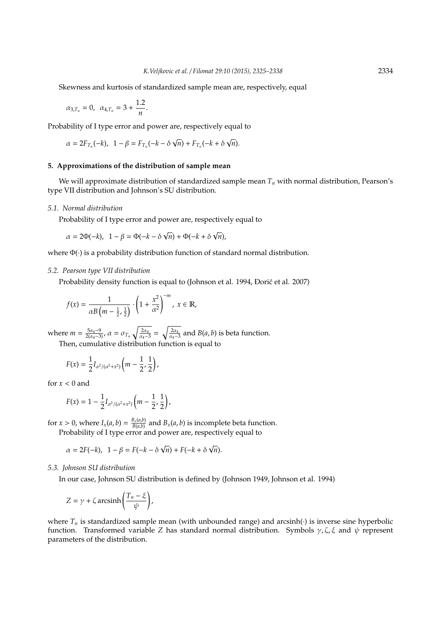Skewness and kurtosis of standardized sample mean are, respectively, equal

$$
\alpha_{3,T_n} = 0
$$
,  $\alpha_{4,T_n} = 3 + \frac{1.2}{n}$ .

Probability of I type error and power are, respectively equal to

$$
\alpha = 2F_{T_n}(-k), \quad 1 - \beta = F_{T_n}(-k - \delta \sqrt{n}) + F_{T_n}(-k + \delta \sqrt{n}).
$$

# **5. Approximations of the distribution of sample mean**

We will approximate distribution of standardized sample mean *T<sup>n</sup>* with normal distribution, Pearson's type VII distribution and Johnson's SU distribution.

# *5.1. Normal distribution*

Probability of I type error and power are, respectively equal to

$$
\alpha = 2\Phi(-k), \ \ 1 - \beta = \Phi(-k - \delta \sqrt{n}) + \Phi(-k + \delta \sqrt{n}),
$$

where Φ(·) is a probability distribution function of standard normal distribution.

# *5.2. Pearson type VII distribution*

Probability density function is equal to (Johnson et al. 1994, Đorić et al. 2007)

$$
f(x) = \frac{1}{\alpha B\left(m - \frac{1}{2}, \frac{1}{2}\right)} \cdot \left(1 + \frac{x^2}{\alpha^2}\right)^{-m}, \ x \in \mathbb{R},
$$

where  $m = \frac{5\alpha_4 - 9}{2(\alpha_4 - 3)}$ ,  $\alpha = \sigma_{T_n} \sqrt{\frac{2\alpha_4}{\alpha_4 - 3}} = \sqrt{\frac{2\alpha_4}{\alpha_4 - 3}}$  and  $B(a, b)$  is beta function. Then, cumulative distribution function is equal to

$$
F(x) = \frac{1}{2} I_{\alpha^2/(\alpha^2 + x^2)} \left( m - \frac{1}{2}, \frac{1}{2} \right),
$$

for  $x < 0$  and

$$
F(x) = 1 - \frac{1}{2} I_{\alpha^2/(\alpha^2 + x^2)} \left( m - \frac{1}{2}, \frac{1}{2} \right),
$$

for  $x > 0$ , where  $I_x(a, b) = \frac{B_x(a, b)}{B(a, b)}$  $\frac{B_{x}(a,b)}{B(a,b)}$  and  $B_{x}(a,b)$  is incomplete beta function.

Probability of I type error and power are, respectively equal to

$$
\alpha = 2F(-k), \ \ 1 - \beta = F(-k - \delta \sqrt{n}) + F(-k + \delta \sqrt{n}).
$$

*5.3. Johnson SU distribution*

In our case, Johnson SU distribution is defined by (Johnson 1949, Johnson et al. 1994)

$$
Z = \gamma + \zeta \operatorname{arcsinh}\left(\frac{T_n - \xi}{\psi}\right),
$$

where  $T_n$  is standardized sample mean (with unbounded range) and arcsinh( $\cdot$ ) is inverse sine hyperbolic function. Transformed variable *Z* has standard normal distribution. Symbols  $\gamma$ ,  $\zeta$ ,  $\xi$  and  $\psi$  represent parameters of the distribution.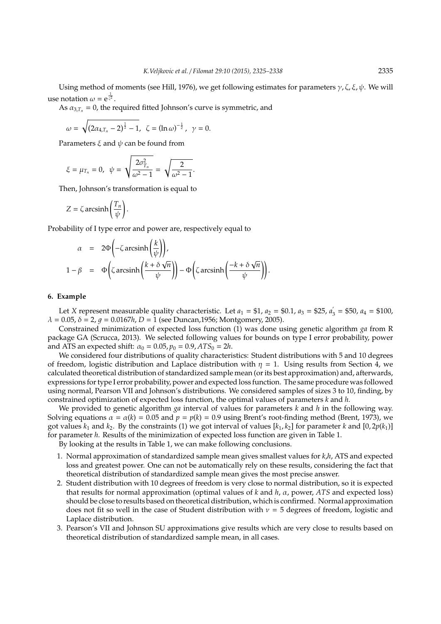Using method of moments (see Hill, 1976), we get following estimates for parameters  $\gamma$ , ζ, ξ,  $\psi$ . We will use notation  $\omega = e^{\frac{1}{\zeta^2}}$ .

As  $\alpha_{3,T_n} = 0$ , the required fitted Johnson's curve is symmetric, and

$$
\omega = \sqrt{(2\alpha_{4,T_n} - 2)^{\frac{1}{2}} - 1}, \ \ \zeta = (\ln \omega)^{-\frac{1}{2}}, \ \ \gamma = 0.
$$

Parameters  $\xi$  and  $\psi$  can be found from

$$
\xi = \mu_{T_n} = 0, \quad \psi = \sqrt{\frac{2\sigma_{T_n}^2}{\omega^2 - 1}} = \sqrt{\frac{2}{\omega^2 - 1}}.
$$

Then, Johnson's transformation is equal to

$$
Z = \zeta \operatorname{arcsinh}\left(\frac{T_n}{\psi}\right).
$$

Probability of I type error and power are, respectively equal to

$$
\alpha = 2\Phi\left(-\zeta \operatorname{arcsinh}\left(\frac{k}{\psi}\right)\right),
$$
  
\n
$$
1 - \beta = \Phi\left(\zeta \operatorname{arcsinh}\left(\frac{k + \delta \sqrt{n}}{\psi}\right)\right) - \Phi\left(\zeta \operatorname{arcsinh}\left(\frac{-k + \delta \sqrt{n}}{\psi}\right)\right).
$$

# **6. Example**

Let *X* represent measurable quality characteristic. Let  $a_1 = $1, a_2 = $0.1, a_3 = $25, a_2$  $a_3^2 = $50, a_4 = $100,$  $\lambda = 0.05$ ,  $\delta = 2$ ,  $q = 0.0167h$ ,  $D = 1$  (see Duncan,1956; Montgomery, 2005).

Constrained minimization of expected loss function (1) was done using genetic algorithm *ga* from R package GA (Scrucca, 2013). We selected following values for bounds on type I error probability, power and ATS an expected shift:  $\alpha_0 = 0.05$ ,  $p_0 = 0.9$ ,  $ATS_0 = 2h$ .

We considered four distributions of quality characteristics: Student distributions with 5 and 10 degrees of freedom, logistic distribution and Laplace distribution with  $\eta = 1$ . Using results from Section 4, we calculated theoretical distribution of standardized sample mean (or its best approximation) and, afterwards, expressions for type I error probability, power and expected loss function. The same procedure was followed using normal, Pearson VII and Johnson's distributions. We considered samples of sizes 3 to 10, finding, by constrained optimization of expected loss function, the optimal values of parameters *k* and *h*.

We provided to genetic algorithm *ga* interval of values for parameters *k* and *h* in the following way. Solving equations  $\alpha = \alpha(k) = 0.05$  and  $p = p(k) = 0.9$  using Brent's root-finding method (Brent, 1973), we got values  $k_1$  and  $k_2$ . By the constraints (1) we got interval of values  $[k_1, k_2]$  for parameter *k* and  $[0, 2p(k_1)]$ for parameter *h*. Results of the minimization of expected loss function are given in Table 1.

By looking at the results in Table 1, we can make following conclusions.

- 1. Normal approximation of standardized sample mean gives smallest values for *k*,*h*, ATS and expected loss and greatest power. One can not be automatically rely on these results, considering the fact that theoretical distribution of standardized sample mean gives the most precise answer.
- 2. Student distribution with 10 degrees of freedom is very close to normal distribution, so it is expected that results for normal approximation (optimal values of *k* and *h*, α, power, *ATS* and expected loss) should be close to results based on theoretical distribution, which is confirmed. Normal approximation does not fit so well in the case of Student distribution with  $\nu = 5$  degrees of freedom, logistic and Laplace distribution.
- 3. Pearson's VII and Johnson SU approximations give results which are very close to results based on theoretical distribution of standardized sample mean, in all cases.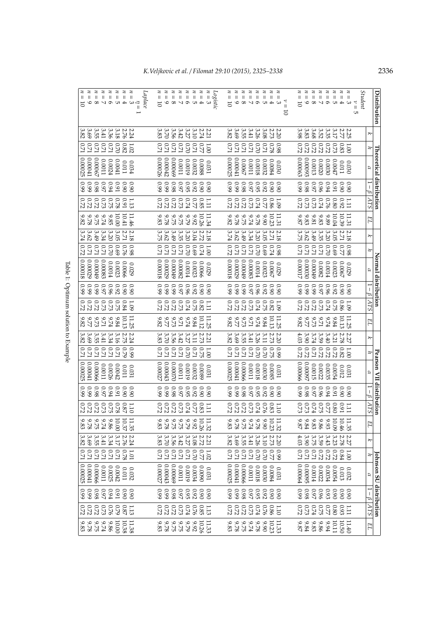| Distribution                                                                                                                                                                |                                                                 |                              | Fheoretical distribution |                    |                                                               |                   |                                                 |                                                        | Normal distribution |                                             |                                        |                                             |                                                          |                                                                                | Pearson VII distribution |                     |                     |                                                       |                                                                                 |                                                                                                | Johnson SU distribution                                 |                                                     |                               |                                                             |
|-----------------------------------------------------------------------------------------------------------------------------------------------------------------------------|-----------------------------------------------------------------|------------------------------|--------------------------|--------------------|---------------------------------------------------------------|-------------------|-------------------------------------------------|--------------------------------------------------------|---------------------|---------------------------------------------|----------------------------------------|---------------------------------------------|----------------------------------------------------------|--------------------------------------------------------------------------------|--------------------------|---------------------|---------------------|-------------------------------------------------------|---------------------------------------------------------------------------------|------------------------------------------------------------------------------------------------|---------------------------------------------------------|-----------------------------------------------------|-------------------------------|-------------------------------------------------------------|
|                                                                                                                                                                             | $\breve{\vphantom{1}}$                                          | F                            | R                        | ۲<br>۱<br>$\omega$ | 278                                                           | EL                | $\breve{\varkappa}$                             | $\overline{r}$                                         | B                   | ۲<br>۱<br>9                                 | ATS                                    | EL                                          | $\breve{ }$                                              | F                                                                              | $\mathcal{L}$            | $\overline{1}$<br>β | ATS                 | EL                                                    | ₹                                                                               | $\overline{r}$                                                                                 | R                                                       | T<br>B                                              | ATS                           | EL                                                          |
| Student                                                                                                                                                                     |                                                                 |                              |                          |                    |                                                               |                   |                                                 |                                                        |                     |                                             |                                        |                                             |                                                          |                                                                                |                          |                     |                     |                                                       |                                                                                 |                                                                                                |                                                         |                                                     |                               |                                                             |
| $\prec$<br>ς<br>$\sf II$<br>GТ                                                                                                                                              |                                                                 |                              | $0.030$                  |                    |                                                               | 11.31             |                                                 |                                                        | 0.029               | 0.90                                        | $-1.09$                                |                                             |                                                          |                                                                                | 0.031                    |                     |                     |                                                       |                                                                                 |                                                                                                |                                                         |                                                     |                               |                                                             |
| $z \, z$<br>$\mathbf{H}$<br>$\mathbf{I}$                                                                                                                                    |                                                                 |                              | 110.0                    |                    |                                                               | 10.39             | $\begin{array}{c} 2.18 \\ 2.71 \end{array}$     | $\frac{125}{27}$                                       | 0.0067              | 06.0                                        |                                        | $\frac{11.25}{10.13}$                       |                                                          |                                                                                | 0.012                    | 0.90                |                     |                                                       |                                                                                 |                                                                                                |                                                         |                                                     | 1.11                          | $11.40$<br>$10.50$                                          |
|                                                                                                                                                                             |                                                                 |                              |                          | 0.99<br>0.99       | $\frac{1.11}{9.90}$                                           |                   |                                                 |                                                        |                     |                                             | 0.86                                   |                                             | $\frac{2.27}{2.78}$                                      |                                                                                |                          |                     |                     | $11.35$<br>$10.49$                                    | $\begin{array}{c} 2.27 \\ 2.78 \\ 3.33 \\ \end{array}$                          |                                                                                                | $\begin{array}{c} 0.032 \\ 0.013 \\ 0.0054 \end{array}$ | 0.9<br>0.9<br>0.9                                   |                               |                                                             |
| z<br>Ш                                                                                                                                                                      |                                                                 |                              | 0.0047                   |                    |                                                               | 10.04             |                                                 | 690                                                    | 0.0023              | 0.92                                        |                                        | 9.84                                        |                                                          |                                                                                | 0.0054                   | 0.91                |                     |                                                       |                                                                                 |                                                                                                |                                                         |                                                     | $0.80\,$                      | 10.11                                                       |
| $\sharp$<br>Ш                                                                                                                                                               |                                                                 |                              | 0.0030                   | $6.94$             |                                                               | 9.89              |                                                 | $0\angle 0$                                            | 100.0014            |                                             | $\hbar Z0$                             | $b2.74$                                     |                                                          |                                                                                | 0.0035                   | F600                |                     |                                                       |                                                                                 |                                                                                                | 0.0034                                                  |                                                     |                               | 6.94                                                        |
| 40010                                                                                                                                                                       |                                                                 |                              | 0.0020                   |                    |                                                               |                   |                                                 | <b>LZ0</b>                                             | 0.0082              |                                             |                                        | $U\mathcal{L}6$                             |                                                          |                                                                                | $0.0022$<br>0.0015       | 0.97<br>0.97        |                     |                                                       |                                                                                 | $\begin{array}{c} 1.00 \\ 0.01 \\ 0.01 \\ 0.07 \\ 0.77 \\ 0.07 \\ 0.07 \\ 0.07 \\ \end{array}$ |                                                         |                                                     |                               |                                                             |
| $\mathbf{H}=\mathbf{H}$                                                                                                                                                     |                                                                 | 1.82250<br>0.82222           | 0.0013                   | $0.97$<br>0.97     |                                                               | $9.81\phantom{0}$ |                                                 | $U\llcorner 0$                                         | 670000              |                                             |                                        | $9.73$                                      | $39.74$<br>$3.74$                                        | $\begin{array}{c} 1.00 \\ 0.01 \\ 0.01 \\ 0.77 \\ 0.07 \\ 0.07 \\ \end{array}$ |                          |                     |                     | $9.9889$<br>$9.889$                                   | $\begin{array}{r} 3.62 \\ 3.62 \\ 3.99 \\ 3.90 \\ \end{array}$                  |                                                                                                | $0.0022$<br>0.0014                                      |                                                     |                               | 9.86                                                        |
| <b>2222</b><br>$\epsilon =$                                                                                                                                                 |                                                                 | $0.72\,$                     | £60000                   | 860                |                                                               | $9.83\,$          | 3 3 3 3 3 3 3 3<br>9 3 3 3 4 6 7<br>5 9 9 9 7 5 |                                                        | 0.00030             | 0.98880                                     |                                        | $\overline{416}$                            | 3.90                                                     | $0.72$                                                                         | 760000                   | 8600                | 3373385H            |                                                       |                                                                                 | $U\!-\!0$                                                                                      | G6000°                                                  | 0.95<br>93<br>92<br>93<br>93                        |                               | $9.84\,$                                                    |
| Ш<br>$\overline{5}$                                                                                                                                                         |                                                                 |                              | C.00063                  | 66.0               |                                                               | 8.87              |                                                 | 171                                                    | 0.00017             |                                             |                                        | 9.82                                        | 4.03                                                     |                                                                                | 0.00066                  | 66.0                |                     | 8'2                                                   | 4.03                                                                            | $U\!L0$                                                                                        | 0.00064                                                 |                                                     |                               | 9.87                                                        |
|                                                                                                                                                                             |                                                                 |                              |                          |                    |                                                               |                   |                                                 |                                                        |                     |                                             |                                        |                                             |                                                          |                                                                                |                          |                     |                     |                                                       |                                                                                 |                                                                                                |                                                         |                                                     |                               |                                                             |
| $\overline{u}$<br>トニ<br>5                                                                                                                                                   |                                                                 |                              | 0.030                    | 0.90               |                                                               | 11.31             |                                                 |                                                        | 6200                | 0.90                                        |                                        | 11.25                                       |                                                          |                                                                                | $0.031\,$                | 0.90                |                     |                                                       |                                                                                 |                                                                                                | $0.031\,$                                               |                                                     |                               |                                                             |
| z                                                                                                                                                                           |                                                                 |                              | 0.0084                   |                    |                                                               | 10.23             |                                                 |                                                        | 0.0067              | 06.0                                        |                                        |                                             | $2.20$<br>$2.73$                                         |                                                                                | G800'0                   |                     |                     |                                                       |                                                                                 |                                                                                                | 0.0084                                                  |                                                     |                               |                                                             |
| Ш                                                                                                                                                                           |                                                                 | $2800$<br>$0.71$             | 0.0032                   |                    |                                                               | 06'6              |                                                 | $\begin{array}{c} 0.98 \\ 0.74 \\ 0.94 \\ \end{array}$ | 0.0023              |                                             | $1.981$<br>$0.821$<br>$0.74$           | $\begin{array}{c} 0.13 \\ 9.84 \end{array}$ | 3.11                                                     | 920<br>925                                                                     | 0600.0                   | 0.92<br>0.95        |                     |                                                       |                                                                                 | $0.70$<br>$0.70$<br>$0.70$                                                                     | 0:0030                                                  |                                                     | $1.10$<br>$0.86$<br>$0.74$    |                                                             |
| $\mathsf{II}$                                                                                                                                                               |                                                                 | $0.70\,$                     | 8100.0                   |                    |                                                               | $9.78\,$          |                                                 | $0.70\,$                                               | $FIOO.0$            | $\begin{array}{c} 0.92 \\ 0.96 \end{array}$ |                                        | $6.74\,$                                    | 3.26                                                     | $0.70\,$                                                                       | 8100.0                   |                     |                     | $\begin{array}{c} 11.32 \\ 10.29 \\ 9.78 \end{array}$ | $\begin{array}{ c c }\n 2.20 \\  2.79 \\  3.26 \\  \hline\n 3.26\n \end{array}$ | 0.70                                                                                           | 8100.0                                                  |                                                     |                               | $\begin{array}{c} 11.33 \\ 10.29 \\ 9.78 \end{array}$       |
| $\parallel$                                                                                                                                                                 |                                                                 | $\frac{17.0}{17.0}$          | 1100.0                   |                    |                                                               | $6.74$            |                                                 | $U\!-\!0$                                              | 0.00083             |                                             |                                        | $17.6\,$                                    |                                                          | $\frac{17.0}{17.0}$                                                            | II00'0                   | $\sqrt{26}$ 0       |                     |                                                       |                                                                                 | $U\!D$                                                                                         | 1100.0                                                  |                                                     |                               |                                                             |
| $\,$ H<br>$D \circ \sim \sim \infty$                                                                                                                                        |                                                                 |                              | 0.0067                   |                    |                                                               | 9.75              |                                                 | $U\!-\!0$                                              | 670000              |                                             | 822<br>282                             | 67.77                                       |                                                          |                                                                                | 0.00066                  | 0.99                |                     | 9.74<br>9.75<br>9.78                                  |                                                                                 | $U\!D$                                                                                         | 0.00066                                                 |                                                     |                               | $\begin{array}{c} 9.74 \\ 9.75 \\ 9.78 \end{array}$         |
| <b>NNNNNN</b><br>Ш<br>Ш<br>$\overline{0}$                                                                                                                                   | 2 2 2 3 3 4 4 5 6 7<br>2 2 3 3 4 4 5 6 6 2                      | <b>120</b><br>$U\llcorner 0$ | 0.00025<br>0.00041       | 66.0               |                                                               | 9.82<br>87.9      |                                                 | 0.72<br>$U\!-\!0$                                      | 8100018<br>0.00029  | $0.97$<br>$0.99$<br>$0.99$                  | 0.72                                   | 9.82                                        | $3.389$<br>$3.38$<br>$3.82$                              | <b>171</b><br>$U\!-\!0$                                                        | 0.00025<br>0.00041       | 66.0                |                     | 9.83                                                  | $39988$<br>$40988$                                                              | <b>LZ0</b><br>$U\!D$                                                                           | 0.00025                                                 |                                                     |                               | 9.83                                                        |
|                                                                                                                                                                             |                                                                 |                              |                          |                    |                                                               |                   |                                                 |                                                        |                     |                                             |                                        |                                             |                                                          |                                                                                |                          |                     |                     |                                                       |                                                                                 |                                                                                                |                                                         |                                                     |                               |                                                             |
| $\boldsymbol{z}$<br>Logistic<br>$\frac{1}{3}$                                                                                                                               |                                                                 |                              | 0.031                    |                    |                                                               | 11.34             |                                                 |                                                        | 6200                | 0.90                                        | 111                                    |                                             |                                                          |                                                                                | 1800                     | 06.0                |                     |                                                       |                                                                                 |                                                                                                | 0.031                                                   |                                                     |                               |                                                             |
| $\boldsymbol{z}$                                                                                                                                                            |                                                                 |                              | 88000                    |                    |                                                               | 10.26             |                                                 | $0.74$<br>0.74                                         | 9900'0              | 06.0                                        |                                        | $\frac{11.25}{10.12}$                       | $\begin{array}{c} 2.21 \\ 2.72 \\ 3.11 \end{array}$      | $\frac{120}{250}$                                                              | 6800'0                   | 06.0                |                     | $11.32$<br>$10.26$                                    |                                                                                 |                                                                                                | 0600'0                                                  |                                                     |                               |                                                             |
| $\sharp$<br>$\begin{array}{c} \parallel\parallel\parallel\parallel\parallel\parallel\\ \parallel\perp\parallel\perp\parallel\parallel\parallel\parallel\\ \perp\end{array}$ |                                                                 | $2779$<br>$200$<br>$200$     | 0.0032                   |                    |                                                               | 9.92              |                                                 | 690                                                    | 0.0023              | $0.998$<br>$0.97$                           | $0.80$<br>$0.74$                       | $9.84$                                      |                                                          |                                                                                | 0.0032                   | $0.95\phantom{0}$   |                     |                                                       |                                                                                 | 13322                                                                                          | 0.0034                                                  |                                                     |                               | $\begin{array}{c} 11.33 \\ 10.26 \\ 9.79 \end{array}$       |
| $\sharp$                                                                                                                                                                    |                                                                 |                              | 61000                    |                    |                                                               | 62.6              |                                                 | $0.70\,$                                               | $F100.0$            |                                             |                                        | $6.74$                                      | 3.27                                                     | $0.70\,$                                                                       | 61000                    |                     |                     |                                                       |                                                                                 |                                                                                                | 6100'0                                                  |                                                     |                               |                                                             |
| $\overline{z}$                                                                                                                                                              |                                                                 | $U\!D$                       | 1100.0                   |                    |                                                               | $9.75$            |                                                 | <b>LZ0</b>                                             | 0.00082             |                                             | $6.73$                                 | $17.9\,$                                    | 3.42                                                     | $U\!-\!0$                                                                      | 1100.0                   | $\sqrt{26}$ 0       |                     |                                                       |                                                                                 | $U\!L0$                                                                                        | 1100.0                                                  |                                                     |                               | $9.75$                                                      |
| $\sharp$<br>$\approx 8$                                                                                                                                                     |                                                                 |                              | 690000                   |                    |                                                               | $9.75$            |                                                 | $U\!\!\!\!10$                                          | 670000              |                                             |                                        | $9.77$<br>$% \sim 100$                      |                                                          | $U\!-\!0$                                                                      | 020000                   | 0.98<br>0.99        |                     |                                                       |                                                                                 | $U\!D$                                                                                         | 690000                                                  |                                                     |                               |                                                             |
| $z \, z$<br>Ш<br>$\mathbf{o}$                                                                                                                                               |                                                                 | <b>771</b><br>$U\!20$        | $0.00042$<br>0.00026     | 0.9<br>0.9<br>0.9  | <b>2222732321</b><br>232253                                   | $9.83$<br>9.83    |                                                 | <b>171</b>                                             | 670000              | $0.999$<br>$0.99$                           |                                        | 9.82                                        | $3.58$<br>$3.83$                                         | 17.0<br>$U\!\!\!\!10$                                                          | $0.00043$<br>$0.00027$   |                     | 132374811           |                                                       | $\begin{array}{c} 3.36 \\ 3.56 \\ 3.67 \\ 3.83 \end{array}$                     | $\frac{170}{2}$                                                                                | $0.00043$<br>$0.00027$                                  | $0.999$<br>$0.99$                                   | ះ<br>ទី១១១១១១ :<br>នីង អង្គន់ | $9.78$<br>9.78                                              |
| $=10$                                                                                                                                                                       |                                                                 |                              |                          |                    |                                                               |                   |                                                 |                                                        | 0.00018             |                                             |                                        |                                             |                                                          |                                                                                |                          | 66.0                |                     |                                                       |                                                                                 |                                                                                                |                                                         |                                                     |                               |                                                             |
| Laplace                                                                                                                                                                     |                                                                 |                              |                          |                    |                                                               |                   |                                                 |                                                        |                     |                                             |                                        |                                             |                                                          |                                                                                |                          |                     |                     |                                                       |                                                                                 |                                                                                                |                                                         |                                                     |                               |                                                             |
| $z \, z$<br>$\mathsf{I}$<br>$\frac{1}{\alpha}$                                                                                                                              |                                                                 |                              | <b>FEO</b> '0            | 0.90               | 1.13                                                          | 11.46             |                                                 | 0.98<br>0.76                                           | 6200                | 0.90                                        | <b>1.09</b>                            | $\frac{11.25}{10.13}$                       |                                                          | 660                                                                            | 0.031                    | 0.90                |                     | $1.35$<br>$-0.37$                                     | $2.24$<br>2.76                                                                  | $\begin{array}{c} 0.77 \\ 0.78 \end{array}$                                                    | 0.032                                                   |                                                     | $1.13$<br>$0.87$              | 11.38                                                       |
| $\,$ II                                                                                                                                                                     |                                                                 |                              | 110.0                    |                    | $16.0\,$                                                      | 10.41             |                                                 |                                                        | 9900'0              |                                             |                                        |                                             |                                                          | 62.0                                                                           | 110.0                    |                     |                     |                                                       |                                                                                 |                                                                                                | 110.0                                                   |                                                     |                               | $10.38$<br>$10.00$                                          |
| $\mathbf{H}=\mathbf{H}$                                                                                                                                                     |                                                                 |                              | 1700.0                   |                    |                                                               | 10.00             |                                                 | 690                                                    | 0.0023              |                                             |                                        | $9.84$                                      | $\frac{127}{277}$<br>$\frac{277}{29}$<br>$\frac{33}{24}$ |                                                                                | 0.0042                   | $0.94$<br>$0.94$    |                     | 00.00                                                 | $\frac{3.17}{3.34}$                                                             | $\frac{17.0}{17.0}$                                                                            | $0.0042$<br>0.0025                                      | $\begin{array}{c} 0.90 \\ 0.91 \\ 0.94 \end{array}$ | $620$                         |                                                             |
| $z \, z \, z$<br>400K                                                                                                                                                       |                                                                 |                              | 0.0024                   |                    |                                                               | 9.85              |                                                 | $0.70\,$                                               | $FIOO.0$            |                                             |                                        | $U\mathcal{L}6$<br>$9.74\,$                 |                                                          |                                                                                | 0.0026                   | $\sqrt{26}$ 0       |                     |                                                       |                                                                                 |                                                                                                | 1100.0                                                  | $\sqrt{26}$ 0                                       |                               |                                                             |
| z<br>$\mathbf{H}$<br>$\parallel$                                                                                                                                            |                                                                 | 1777282<br>23778             | 0.00067<br>1100.0        |                    |                                                               | $6.74$<br>6.75    |                                                 | $U\!\!\!\!10$<br>$U\!\!\!\!Z\,0$                       | 670000<br>C:00083   |                                             |                                        |                                             | 141                                                      |                                                                                | 0.00066<br>1100.0        |                     |                     |                                                       | $3.41\,$                                                                        | $U\!-\!0$<br>$U\!D$                                                                            | 0.00066                                                 |                                                     |                               |                                                             |
| $\overline{u}$<br>Ш.<br>$^{\circ}$                                                                                                                                          | 2 2 2 3 3 4 4 5 6 7<br>2 2 3 3 4 4 5 6 6 8 2<br>3 3 4 5 6 6 8 2 |                              | 0.00041                  |                    | 8<br>8<br>8<br>8<br>8<br>8<br>8<br>8<br>8<br>8<br>8<br>8<br>8 | $9.82$<br>9.82    |                                                 | <b>171</b>                                             | 0.00029             |                                             | ទី ទី ទី ទី ទី ទី<br>ទី ស្ថិត នី ដូ ដូ | $9.77$<br>$% \sim 100$                      | $\begin{array}{c} 3.55 \\ 3.69 \end{array}$              | $\begin{array}{c} 77777 \\ 700 \\ 030 \\ 070 \\ \end{array}$                   | 0.00041                  | 0.98<br>0.99        | 222232821<br>232232 | 9,975,83<br>95,75,83                                  | $\begin{array}{c} 3.56 \\ 3.69 \\ 3.82 \end{array}$                             | <b>IZO</b>                                                                                     | 0.00041                                                 | 0.99                                                |                               | $\begin{array}{c} 9.86 \\ 9.77 \\ 9.78 \\ 8.33 \end{array}$ |
| Ш                                                                                                                                                                           | 82                                                              | U20                          | 0.00025                  |                    |                                                               |                   |                                                 | 0.72                                                   | 810000              |                                             |                                        | 9.82                                        | 3.82                                                     | LZ0                                                                            | 0.00025                  | 66.0                |                     |                                                       |                                                                                 | <b>LZ0</b>                                                                                     | 0.00025                                                 | 66.0                                                |                               |                                                             |
|                                                                                                                                                                             |                                                                 |                              |                          |                    |                                                               |                   |                                                 |                                                        |                     |                                             |                                        |                                             |                                                          |                                                                                |                          |                     |                     |                                                       |                                                                                 |                                                                                                |                                                         |                                                     |                               |                                                             |

Table 1: Optimum solution to Example Table 1: Optimum solution to Example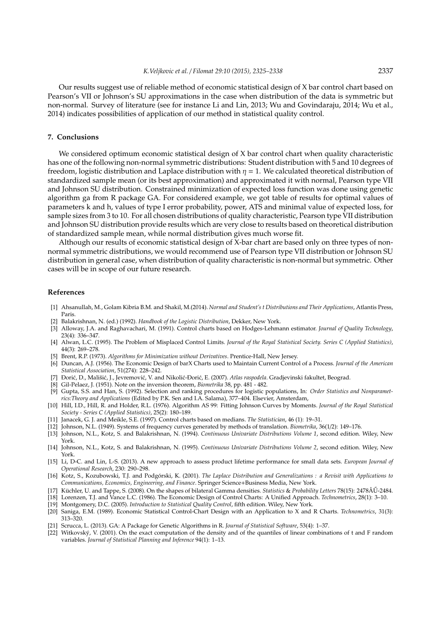Our results suggest use of reliable method of economic statistical design of X bar control chart based on Pearson's VII or Johnson's SU approximations in the case when distribution of the data is symmetric but non-normal. Survey of literature (see for instance Li and Lin, 2013; Wu and Govindaraju, 2014; Wu et al., 2014) indicates possibilities of application of our method in statistical quality control.

# **7. Conclusions**

We considered optimum economic statistical design of X bar control chart when quality characteristic has one of the following non-normal symmetric distributions: Student distribution with 5 and 10 degrees of freedom, logistic distribution and Laplace distribution with  $\eta = 1$ . We calculated theoretical distribution of standardized sample mean (or its best approximation) and approximated it with normal, Pearson type VII and Johnson SU distribution. Constrained minimization of expected loss function was done using genetic algorithm ga from R package GA. For considered example, we got table of results for optimal values of parameters k and h, values of type I error probability, power, ATS and minimal value of expected loss, for sample sizes from 3 to 10. For all chosen distributions of quality characteristic, Pearson type VII distribution and Johnson SU distribution provide results which are very close to results based on theoretical distribution of standardized sample mean, while normal distribution gives much worse fit.

Although our results of economic statistical design of X-bar chart are based only on three types of nonnormal symmetric distributions, we would recommend use of Pearson type VII distribution or Johnson SU distribution in general case, when distribution of quality characteristic is non-normal but symmetric. Other cases will be in scope of our future research.

#### **References**

- [1] Ahsanullah, M., Golam Kibria B.M. and Shakil, M.(2014). *Normal and Student's t Distributions and Their Applications*, Atlantis Press, Paris.
- [2] Balakrishnan, N. (ed.) (1992). *Handbook of the Logistic Distribution*, Dekker, New York.
- [3] Alloway, J.A. and Raghavachari, M. (1991). Control charts based on Hodges-Lehmann estimator. *Journal of Quality Technology*, 23(4): 336–347.
- [4] Alwan, L.C. (1995). The Problem of Misplaced Control Limits. *Journal of the Royal Statistical Society. Series C (Applied Statistics)*, 44(3): 269–278.
- [5] Brent, R.P. (1973). *Algorithms for Minimization without Derivatives*. Prentice-Hall, New Jersey.
- [6] Duncan, A.J. (1956). The Economic Design of barX Charts used to Maintain Current Control of a Process. *Journal of the American Statistical Association*, 51(274): 228–242.
- [7] Đorić, D., Mališić, J., Jevremović, V. and Nikolić-Đorić, E. (2007). *Atlas raspodela*. Gradjevinski fakultet, Beograd.
- [8] Gil-Pelaez, J. (1951). Note on the inversion theorem, *Biometrika* 38, pp. 481 482.
- [9] Gupta, S.S. and Han, S. (1992). Selection and ranking procedures for logistic populations, In: *Order Statistics and Nonparametrics:Theory and Applications* (Edited by P.K. Sen and I.A. Salama), 377–404. Elsevier, Amsterdam,
- [10] Hill, I.D., Hill, R. and Holder, R.L. (1976). Algorithm AS 99: Fitting Johnson Curves by Moments. *Journal of the Royal Statistical Society - Series C (Applied Statistics)*, 25(2): 180–189.
- [11] Janacek, G. J. and Meikle, S.E. (1997). Control charts based on medians. *The Statistician*, 46 (1): 19–31.
- [12] Johnson, N.L. (1949). Systems of frequency curves generated by methods of translation. *Biometrika*, 36(1/2): 149–176.
- [13] Johnson, N.L., Kotz, S. and Balakrishnan, N. (1994). *Continuous Univariate Distributions Volume 1*, second edition. Wiley, New York.
- [14] Johnson, N.L., Kotz, S. and Balakrishnan, N. (1995). *Continuous Univariate Distributions Volume 2*, second edition. Wiley, New York.
- [15] Li, D-C. and Lin, L-S. (2013). A new approach to assess product lifetime performance for small data sets. *European Journal of Operational Research*, 230: 290–298.
- [16] Kotz, S., Kozubowski, T.J. and Podgórski, K. (2001). *The Laplace Distribution and Generalizations : a Revisit with Applications to Communications, Economics, Engineering, and Finance*. Springer Science+Business Media, New York.
- [17] Küchler, U. and Tappe, S. (2008). On the shapes of bilateral Gamma densities. *Statistics* & *Probability Letters* 78(15): 2478ÂU-2484. ˝
- [18] Lorenzen, T.J. and Vance L.C. (1986). The Economic Design of Control Charts: A Unified Approach. *Technometrics*, 28(1): 3–10.
- [19] Montgomery, D.C. (2005). *Introduction to Statistical Quality Control*, fifth edition. Wiley, New York.
- [20] Saniga, E.M. (1989). Economic Statistical Control-Chart Design with an Application to X and R Charts. *Technometrics*, 31(3): 313–320.
- [21] Scrucca, L. (2013). GA: A Package for Genetic Algorithms in R. *Journal of Statistical Software*, 53(4): 1–37.
- [22] Witkovský, V. (2001). On the exact computation of the density and of the quantiles of linear combinations of t and F random variables. *Journal of Statistical Planning and Inference* 94(1): 1–13.